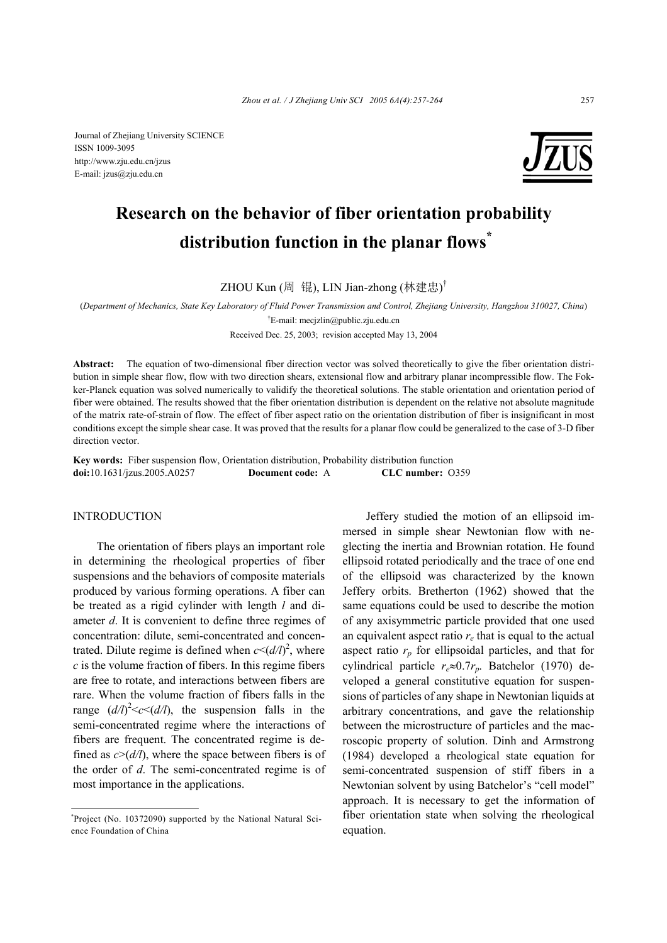Journal of Zhejiang University SCIENCE ISSN 1009-3095 http://www.zju.edu.cn/jzus E-mail: jzus@zju.edu.cn



# **Research on the behavior of fiber orientation probability distribution function in the planar flows\***

ZHOU Kun (周 锟), LIN Jian-zhong (林建忠)<sup>†</sup>

(*Department of Mechanics, State Key Laboratory of Fluid Power Transmission and Control, Zhejiang University, Hangzhou 310027, China*) † E-mail: mecjzlin@public.zju.edu.cn

Received Dec. 25, 2003; revision accepted May 13, 2004

**Abstract:** The equation of two-dimensional fiber direction vector was solved theoretically to give the fiber orientation distribution in simple shear flow, flow with two direction shears, extensional flow and arbitrary planar incompressible flow. The Fokker-Planck equation was solved numerically to validify the theoretical solutions. The stable orientation and orientation period of fiber were obtained. The results showed that the fiber orientation distribution is dependent on the relative not absolute magnitude of the matrix rate-of-strain of flow. The effect of fiber aspect ratio on the orientation distribution of fiber is insignificant in most conditions except the simple shear case. It was proved that the results for a planar flow could be generalized to the case of 3-D fiber direction vector.

**Key words:** Fiber suspension flow, Orientation distribution, Probability distribution function **doi:**10.1631/jzus.2005.A0257 **Document code:** A **CLC number:** O359

## INTRODUCTION

The orientation of fibers plays an important role in determining the rheological properties of fiber suspensions and the behaviors of composite materials produced by various forming operations. A fiber can be treated as a rigid cylinder with length *l* and diameter *d*. It is convenient to define three regimes of concentration: dilute, semi-concentrated and concentrated. Dilute regime is defined when  $c < (d/l)^2$ , where *c* is the volume fraction of fibers. In this regime fibers are free to rotate, and interactions between fibers are rare. When the volume fraction of fibers falls in the range  $(d/l)^2 < c < (d/l)$ , the suspension falls in the semi-concentrated regime where the interactions of fibers are frequent. The concentrated regime is defined as  $c$  >( $d/l$ ), where the space between fibers is of the order of *d*. The semi-concentrated regime is of most importance in the applications.

Jeffery studied the motion of an ellipsoid immersed in simple shear Newtonian flow with neglecting the inertia and Brownian rotation. He found ellipsoid rotated periodically and the trace of one end of the ellipsoid was characterized by the known Jeffery orbits. Bretherton (1962) showed that the same equations could be used to describe the motion of any axisymmetric particle provided that one used an equivalent aspect ratio *re* that is equal to the actual aspect ratio  $r_p$  for ellipsoidal particles, and that for cylindrical particle *re*≈0.7*rp*. Batchelor (1970) developed a general constitutive equation for suspensions of particles of any shape in Newtonian liquids at arbitrary concentrations, and gave the relationship between the microstructure of particles and the macroscopic property of solution. Dinh and Armstrong (1984) developed a rheological state equation for semi-concentrated suspension of stiff fibers in a Newtonian solvent by using Batchelor's "cell model" approach. It is necessary to get the information of fiber orientation state when solving the rheological equation.

**<sup>\*</sup>** Project (No. 10372090) supported by the National Natural Science Foundation of China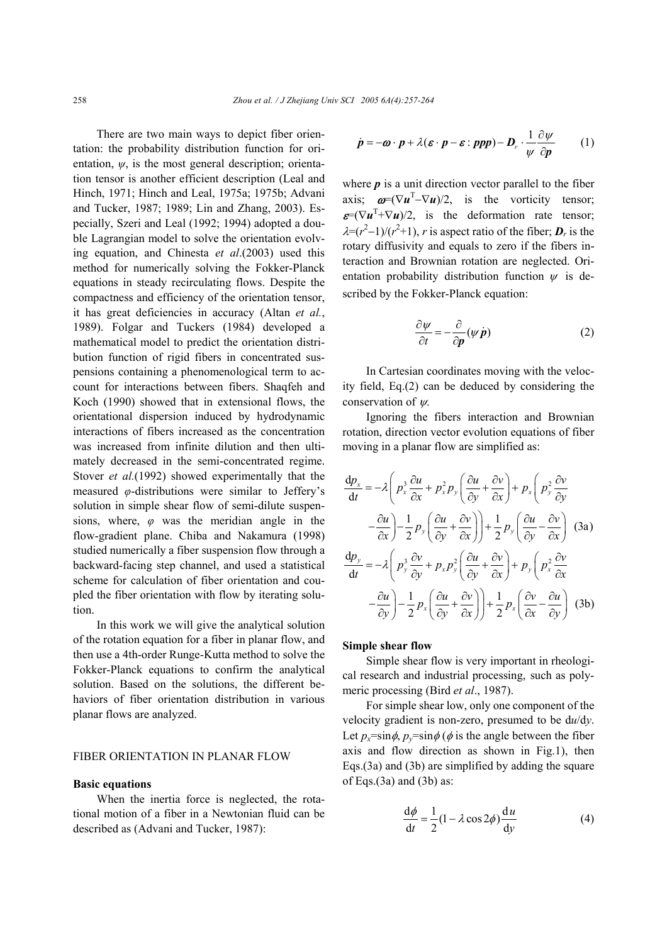There are two main ways to depict fiber orientation: the probability distribution function for orientation, *ψ*, is the most general description; orientation tensor is another efficient description (Leal and Hinch, 1971; Hinch and Leal, 1975a; 1975b; Advani and Tucker, 1987; 1989; Lin and Zhang, 2003). Especially, Szeri and Leal (1992; 1994) adopted a double Lagrangian model to solve the orientation evolving equation, and Chinesta *et al*.(2003) used this method for numerically solving the Fokker-Planck equations in steady recirculating flows. Despite the compactness and efficiency of the orientation tensor, it has great deficiencies in accuracy (Altan *et al.*, 1989). Folgar and Tuckers (1984) developed a mathematical model to predict the orientation distribution function of rigid fibers in concentrated suspensions containing a phenomenological term to account for interactions between fibers. Shaqfeh and Koch (1990) showed that in extensional flows, the orientational dispersion induced by hydrodynamic interactions of fibers increased as the concentration was increased from infinite dilution and then ultimately decreased in the semi-concentrated regime. Stover *et al.*(1992) showed experimentally that the measured *φ*-distributions were similar to Jeffery's solution in simple shear flow of semi-dilute suspensions, where, *φ* was the meridian angle in the flow-gradient plane. Chiba and Nakamura (1998) studied numerically a fiber suspension flow through a backward-facing step channel, and used a statistical scheme for calculation of fiber orientation and coupled the fiber orientation with flow by iterating solution.

In this work we will give the analytical solution of the rotation equation for a fiber in planar flow, and then use a 4th-order Runge-Kutta method to solve the Fokker-Planck equations to confirm the analytical solution. Based on the solutions, the different behaviors of fiber orientation distribution in various planar flows are analyzed.

# FIBER ORIENTATION IN PLANAR FLOW

#### **Basic equations**

When the inertia force is neglected, the rotational motion of a fiber in a Newtonian fluid can be described as (Advani and Tucker, 1987):

$$
\dot{p} = -\boldsymbol{\omega} \cdot \boldsymbol{p} + \lambda (\boldsymbol{\varepsilon} \cdot \boldsymbol{p} - \boldsymbol{\varepsilon} : \boldsymbol{ppp}) - \boldsymbol{D}_r \cdot \frac{1}{\psi} \frac{\partial \psi}{\partial \boldsymbol{p}} \qquad (1)
$$

where  $p$  is a unit direction vector parallel to the fiber axis;  $\omega = (\nabla u^T - \nabla u)/2$ , is the vorticity tensor;  $\mathbf{E} = (\nabla \mathbf{u}^T + \nabla \mathbf{u})/2$ , is the deformation rate tensor;  $\lambda = (r^2 - 1)/(r^2 + 1)$ , *r* is aspect ratio of the fiber;  $D_r$  is the rotary diffusivity and equals to zero if the fibers interaction and Brownian rotation are neglected. Orientation probability distribution function  $\psi$  is described by the Fokker-Planck equation:

$$
\frac{\partial \psi}{\partial t} = -\frac{\partial}{\partial p} (\psi \dot{p})
$$
 (2)

In Cartesian coordinates moving with the velocity field, Eq.(2) can be deduced by considering the conservation of ψ.

Ignoring the fibers interaction and Brownian rotation, direction vector evolution equations of fiber moving in a planar flow are simplified as:

$$
\frac{dp_x}{dt} = -\lambda \left( p_x^3 \frac{\partial u}{\partial x} + p_x^2 p_y \left( \frac{\partial u}{\partial y} + \frac{\partial v}{\partial x} \right) + p_x \left( p_y^2 \frac{\partial v}{\partial y} \right) \right)
$$

$$
- \frac{\partial u}{\partial x} \left( -\frac{\partial u}{\partial x} \right) - \frac{1}{2} p_y \left( \frac{\partial u}{\partial y} + \frac{\partial v}{\partial x} \right) + \frac{1}{2} p_y \left( \frac{\partial u}{\partial y} - \frac{\partial v}{\partial x} \right) \text{ (3a)}
$$

$$
\frac{dp_y}{dt} = -\lambda \left( p_y^3 \frac{\partial v}{\partial y} + p_x p_y^2 \left( \frac{\partial u}{\partial y} + \frac{\partial v}{\partial x} \right) + p_y \left( p_x^2 \frac{\partial v}{\partial x} \right) \right)
$$

$$
- \frac{\partial u}{\partial y} \left( -\frac{\partial u}{\partial y} \right) - \frac{1}{2} p_x \left( \frac{\partial u}{\partial y} + \frac{\partial v}{\partial x} \right) + \frac{1}{2} p_x \left( \frac{\partial v}{\partial x} - \frac{\partial u}{\partial y} \right) \text{ (3b)}
$$

# **Simple shear flow**

Simple shear flow is very important in rheological research and industrial processing, such as polymeric processing (Bird *et al*., 1987).

For simple shear low, only one component of the velocity gradient is non-zero, presumed to be d*u*/d*y*. Let  $p_x = \sin \phi$ ,  $p_y = \sin \phi$  ( $\phi$  is the angle between the fiber axis and flow direction as shown in Fig.1), then Eqs.(3a) and (3b) are simplified by adding the square of Eqs. $(3a)$  and  $(3b)$  as:

$$
\frac{d\phi}{dt} = \frac{1}{2}(1 - \lambda \cos 2\phi)\frac{du}{dy}
$$
 (4)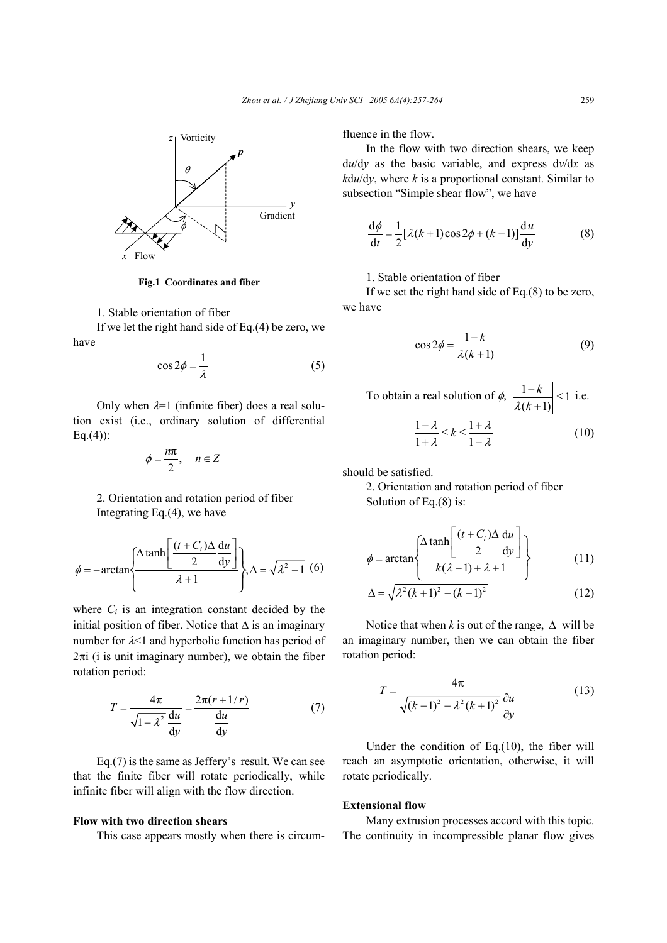

**Fig.1 Coordinates and fiber**

# 1. Stable orientation of fiber

If we let the right hand side of Eq.(4) be zero, we have

$$
\cos 2\phi = \frac{1}{\lambda} \tag{5}
$$

Only when  $\lambda=1$  (infinite fiber) does a real solution exist (i.e., ordinary solution of differential  $Eq.(4)$ :

$$
\phi = \frac{n\pi}{2}, \quad n \in Z
$$

 2. Orientation and rotation period of fiber Integrating Eq.(4), we have

$$
\phi = -\arctan\left\{\frac{\Delta \tanh\left[\frac{(t+C_i)\Delta \tanh}{2} \right]}{\lambda+1}\right\}, \Delta = \sqrt{\lambda^2 - 1} \tag{6}
$$

where  $C_i$  is an integration constant decided by the initial position of fiber. Notice that  $\Delta$  is an imaginary number for  $\lambda$ <1 and hyperbolic function has period of  $2\pi i$  (i is unit imaginary number), we obtain the fiber rotation period:

$$
T = \frac{4\pi}{\sqrt{1 - \lambda^2}} \frac{du}{du} = \frac{2\pi (r + 1/r)}{\frac{du}{dy}}
$$
(7)

Eq.(7) is the same as Jeffery's result. We can see that the finite fiber will rotate periodically, while infinite fiber will align with the flow direction.

## **Flow with two direction shears**

This case appears mostly when there is circum-

fluence in the flow.

In the flow with two direction shears, we keep d*u*/d*y* as the basic variable, and express d*v*/d*x* as  $kdu/dy$ , where *k* is a proportional constant. Similar to subsection "Simple shear flow", we have

$$
\frac{d\phi}{dt} = \frac{1}{2} [\lambda(k+1)\cos 2\phi + (k-1)] \frac{du}{dy}
$$
 (8)

# 1. Stable orientation of fiber

If we set the right hand side of Eq.(8) to be zero, we have

$$
\cos 2\phi = \frac{1 - k}{\lambda(k + 1)}\tag{9}
$$

To obtain a real solution of 
$$
\phi
$$
,  $\left| \frac{1-k}{\lambda(k+1)} \right| \le 1$  i.e.  

$$
\frac{1-\lambda}{1+\lambda} \le k \le \frac{1+\lambda}{1-\lambda}
$$
(10)

should be satisfied.

2. Orientation and rotation period of fiber Solution of Eq.(8) is:

(6) 
$$
\phi = \arctan\left\{\frac{\Delta \tanh\left[\frac{(t+C_i)\Delta}{2}\frac{du}{dy}\right]}{k(\lambda-1)+\lambda+1}\right\}
$$
 (11)

$$
\Delta = \sqrt{\lambda^2 (k+1)^2 - (k-1)^2}
$$
 (12)

Notice that when *k* is out of the range,  $\Delta$  will be an imaginary number, then we can obtain the fiber rotation period:

$$
T = \frac{4\pi}{\sqrt{(k-1)^2 - \lambda^2 (k+1)^2}} \frac{\partial u}{\partial y} \tag{13}
$$

Under the condition of Eq.(10), the fiber will reach an asymptotic orientation, otherwise, it will rotate periodically.

### **Extensional flow**

Many extrusion processes accord with this topic. The continuity in incompressible planar flow gives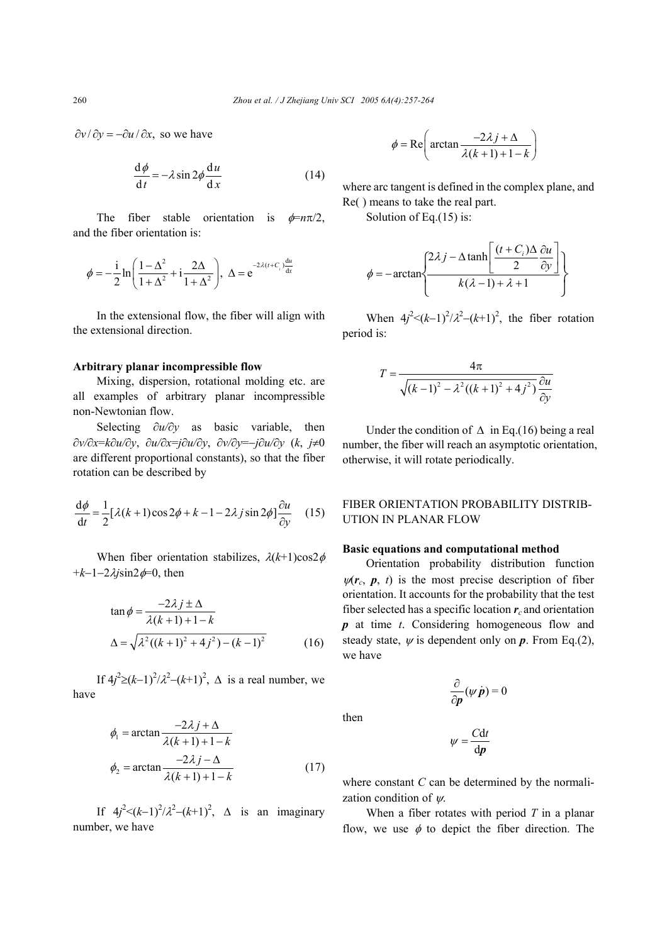$\partial v / \partial y = -\partial u / \partial x$ , so we have

$$
\frac{d\phi}{dt} = -\lambda \sin 2\phi \frac{du}{dx}
$$
 (14)

The fiber stable orientation is  $\phi = n\pi/2$ , and the fiber orientation is:

$$
\phi = -\frac{i}{2} \ln \left( \frac{1 - \Delta^2}{1 + \Delta^2} + i \frac{2\Delta}{1 + \Delta^2} \right), \ \Delta = e^{-2\lambda(t + C_i) \frac{du}{dx}}
$$

In the extensional flow, the fiber will align with the extensional direction.

## **Arbitrary planar incompressible flow**

Mixing, dispersion, rotational molding etc. are all examples of arbitrary planar incompressible non-Newtonian flow.

Selecting ∂*u/*∂*y* as basic variable, then ∂*v/*∂*x*=*k*∂*u/*∂*y*, ∂*u/*∂*x*=*j*∂*u/*∂*y*, ∂*v/*∂*y*=−*j*∂*u/*∂*y* (*k*, *j*≠0 are different proportional constants), so that the fiber rotation can be described by

$$
\frac{d\phi}{dt} = \frac{1}{2} [\lambda(k+1)\cos 2\phi + k - 1 - 2\lambda j \sin 2\phi] \frac{\partial u}{\partial y}
$$
 (15)

When fiber orientation stabilizes,  $\lambda(k+1)\cos 2\phi$ +*k*−1−2λ*j*sin2φ=0, then

$$
\tan \phi = \frac{-2\lambda j \pm \Delta}{\lambda (k+1) + 1 - k}
$$
  
 
$$
\Delta = \sqrt{\lambda^2 ((k+1)^2 + 4j^2) - (k-1)^2}
$$
 (16)

If  $4j^2 \ge (k-1)^2/λ^2 - (k+1)^2$ , Δ is a real number, we have

$$
\phi_1 = \arctan \frac{-2\lambda j + \Delta}{\lambda (k+1) + 1 - k}
$$

$$
\phi_2 = \arctan \frac{-2\lambda j - \Delta}{\lambda (k+1) + 1 - k} \tag{17}
$$

If  $4j^2 < (k-1)^2/λ^2 - (k+1)^2$ , Δ is an imaginary number, we have

$$
\phi = \text{Re}\left(\arctan\frac{-2\lambda j + \Delta}{\lambda(k+1) + 1 - k}\right)
$$

where arc tangent is defined in the complex plane, and Re( ) means to take the real part.

Solution of Eq.(15) is:

$$
\phi = -\arctan\left\{\frac{2\lambda j - \Delta \tanh\left[\frac{(t+C_i)\Delta}{2}\frac{\partial u}{\partial y}\right]}{k(\lambda-1) + \lambda + 1}\right\}
$$

When  $4j^2 < (k-1)^2/\lambda^2 - (k+1)^2$ , the fiber rotation period is:

$$
T = \frac{4\pi}{\sqrt{(k-1)^2 - \lambda^2((k+1)^2 + 4j^2)}} \frac{\partial u}{\partial y}
$$

Under the condition of  $\Delta$  in Eq.(16) being a real number, the fiber will reach an asymptotic orientation, otherwise, it will rotate periodically.

# FIBER ORIENTATION PROBABILITY DISTRIB-UTION IN PLANAR FLOW

## **Basic equations and computational method**

Orientation probability distribution function  $\psi(r_c, p, t)$  is the most precise description of fiber orientation. It accounts for the probability that the test fiber selected has a specific location *r<sup>c</sup>* and orientation *p* at time *t*. Considering homogeneous flow and steady state,  $\psi$  is dependent only on  $\mathbf{p}$ . From Eq.(2), we have

$$
\frac{\partial}{\partial p}(\psi \dot{p}) = 0
$$

then

$$
\psi = \frac{C dt}{dp}
$$

where constant *C* can be determined by the normalization condition of  $\psi$ .

When a fiber rotates with period *T* in a planar flow, we use  $\phi$  to depict the fiber direction. The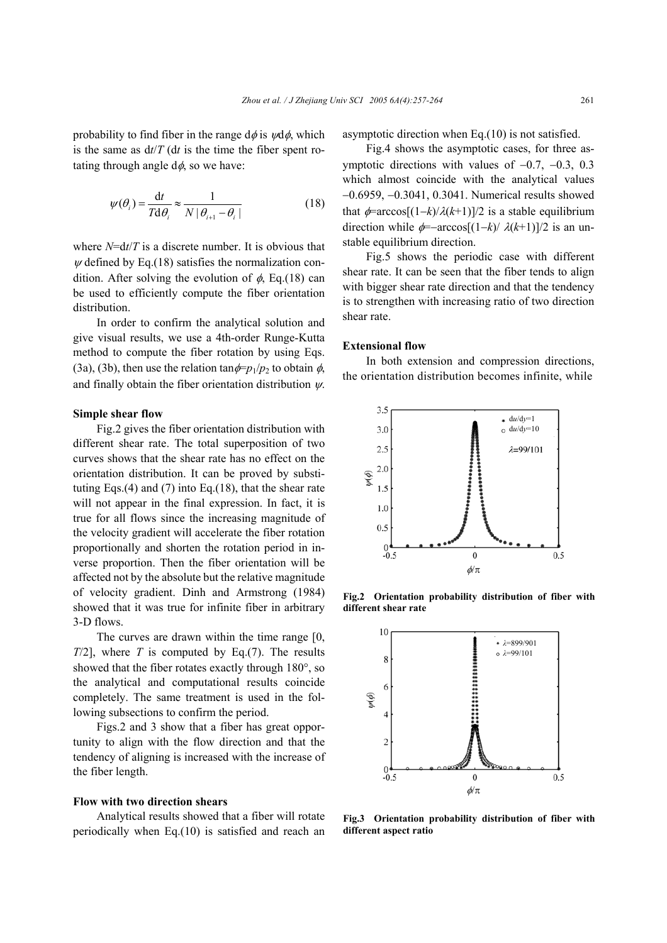probability to find fiber in the range  $d\phi$  is  $\psi d\phi$ , which is the same as  $dt/T$  (d*t* is the time the fiber spent rotating through angle  $d\phi$ , so we have:

$$
\psi(\theta_i) = \frac{\mathrm{d}t}{T \mathrm{d}\theta_i} \approx \frac{1}{N \left| \theta_{i+1} - \theta_i \right|} \tag{18}
$$

where *N*=d*t*/*T* is a discrete number. It is obvious that  $\psi$  defined by Eq.(18) satisfies the normalization condition. After solving the evolution of  $\phi$ , Eq.(18) can be used to efficiently compute the fiber orientation distribution.

In order to confirm the analytical solution and give visual results, we use a 4th-order Runge-Kutta method to compute the fiber rotation by using Eqs. (3a), (3b), then use the relation  $\tan \phi = p_1/p_2$  to obtain  $\phi$ , and finally obtain the fiber orientation distribution  $\psi$ .

#### **Simple shear flow**

Fig.2 gives the fiber orientation distribution with different shear rate. The total superposition of two curves shows that the shear rate has no effect on the orientation distribution. It can be proved by substituting Eqs. $(4)$  and  $(7)$  into Eq. $(18)$ , that the shear rate will not appear in the final expression. In fact, it is true for all flows since the increasing magnitude of the velocity gradient will accelerate the fiber rotation proportionally and shorten the rotation period in inverse proportion. Then the fiber orientation will be affected not by the absolute but the relative magnitude of velocity gradient. Dinh and Armstrong (1984) showed that it was true for infinite fiber in arbitrary 3-D flows.

The curves are drawn within the time range [0, *T*/2], where *T* is computed by Eq.(7). The results showed that the fiber rotates exactly through 180°, so the analytical and computational results coincide completely. The same treatment is used in the following subsections to confirm the period.

Figs.2 and 3 show that a fiber has great opportunity to align with the flow direction and that the tendency of aligning is increased with the increase of the fiber length.

## **Flow with two direction shears**

Analytical results showed that a fiber will rotate periodically when Eq.(10) is satisfied and reach an

asymptotic direction when Eq.(10) is not satisfied.

Fig.4 shows the asymptotic cases, for three asymptotic directions with values of −0.7, −0.3, 0.3 which almost coincide with the analytical values −0.6959, −0.3041, 0.3041. Numerical results showed that  $\phi$ =arccos[(1–*k*)/ $\lambda$ (*k*+1)]/2 is a stable equilibrium direction while  $\phi$ =–arccos[(1–*k*)/  $\lambda$ (*k*+1)]/2 is an unstable equilibrium direction.

Fig.5 shows the periodic case with different shear rate. It can be seen that the fiber tends to align with bigger shear rate direction and that the tendency is to strengthen with increasing ratio of two direction shear rate.

## **Extensional flow**

In both extension and compression directions, the orientation distribution becomes infinite, while



**Fig.2 Orientation probability distribution of fiber with different shear rate** 



**Fig.3 Orientation probability distribution of fiber with different aspect ratio**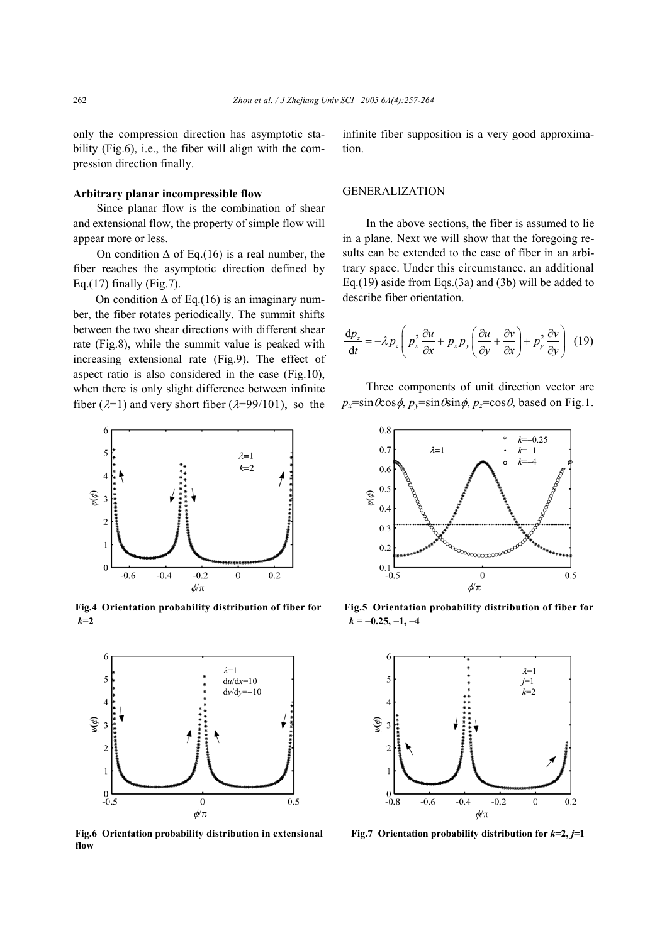only the compression direction has asymptotic stability (Fig.6), i.e., the fiber will align with the compression direction finally.

# **Arbitrary planar incompressible flow**

Since planar flow is the combination of shear and extensional flow, the property of simple flow will appear more or less.

On condition  $\Delta$  of Eq.(16) is a real number, the fiber reaches the asymptotic direction defined by Eq.(17) finally (Fig.7).

On condition  $\Delta$  of Eq.(16) is an imaginary number, the fiber rotates periodically. The summit shifts between the two shear directions with different shear rate (Fig.8), while the summit value is peaked with increasing extensional rate (Fig.9). The effect of aspect ratio is also considered in the case (Fig.10), when there is only slight difference between infinite fiber ( $\lambda=1$ ) and very short fiber ( $\lambda=99/101$ ), so the



*k*=2 *k* = −0.25, −1, −4



**flow**

infinite fiber supposition is a very good approximation.

## GENERALIZATION

In the above sections, the fiber is assumed to lie in a plane. Next we will show that the foregoing results can be extended to the case of fiber in an arbitrary space. Under this circumstance, an additional Eq.(19) aside from Eqs.(3a) and (3b) will be added to describe fiber orientation.

$$
\frac{\mathrm{d}p_z}{\mathrm{d}t} = -\lambda p_z \left( p_x^2 \frac{\partial u}{\partial x} + p_x p_y \left( \frac{\partial u}{\partial y} + \frac{\partial v}{\partial x} \right) + p_y^2 \frac{\partial v}{\partial y} \right) (19)
$$

Three components of unit direction vector are  $p_x = \sin \theta \cos \phi$ ,  $p_y = \sin \theta \sin \phi$ ,  $p_z = \cos \theta$ , based on Fig.1.



**Fig.4 Orientation probability distribution of fiber for Fig.5 Orientation probability distribution of fiber for**



**Fig.6** Orientation probability distribution in extensional Fig.7 Orientation probability distribution for  $k=2$ ,  $j=1$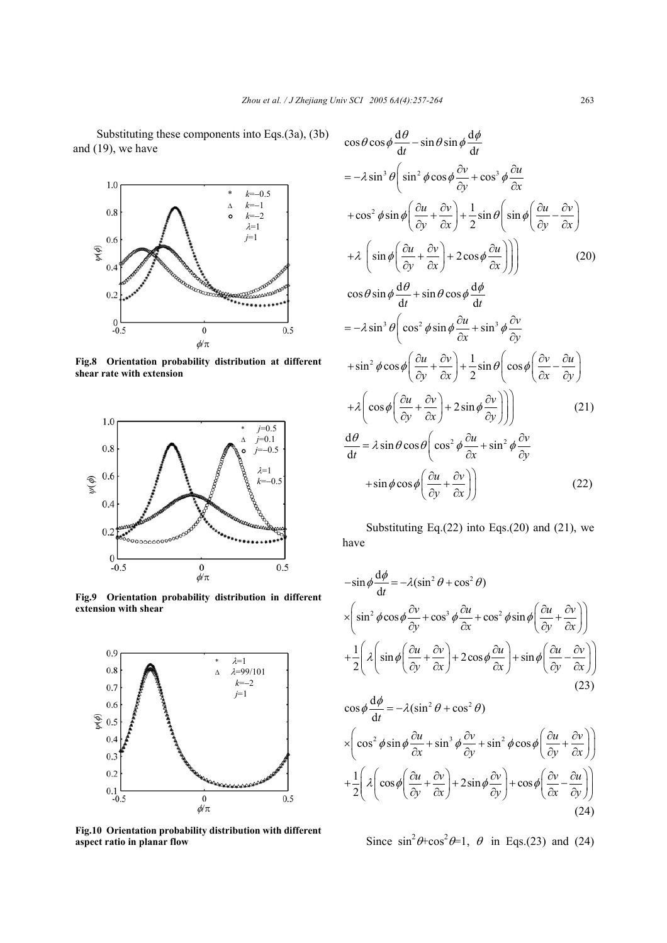Substituting these components into Eqs.(3a), (3b) and (19), we have



**Fig.8 Orientation probability distribution at different shear rate with extension** 



**Fig.9 Orientation probability distribution in different extension with shear**



**Fig.10 Orientation probability distribution with different aspect ratio in planar flow**

$$
\cos \theta \cos \phi \frac{d\theta}{dt} - \sin \theta \sin \phi \frac{d\phi}{dt}
$$
  
=  $-\lambda \sin^3 \theta \left( \sin^2 \phi \cos \phi \frac{\partial v}{\partial y} + \cos^3 \phi \frac{\partial u}{\partial x} \right)$   
+  $\cos^2 \phi \sin \phi \left( \frac{\partial u}{\partial y} + \frac{\partial v}{\partial x} \right) + \frac{1}{2} \sin \theta \left( \sin \phi \left( \frac{\partial u}{\partial y} - \frac{\partial v}{\partial x} \right) \right)$   
+  $\lambda \left( \sin \phi \left( \frac{\partial u}{\partial y} + \frac{\partial v}{\partial x} \right) + 2 \cos \phi \frac{\partial u}{\partial x} \right) \right)$  (20)  
 $\cos \theta \sin \phi \frac{d\theta}{dt} + \sin \theta \cos \phi \frac{d\phi}{dt}$   
=  $-\lambda \sin^3 \theta \left( \cos^2 \phi \sin \phi \frac{\partial u}{\partial x} + \sin^3 \phi \frac{\partial v}{\partial y} \right)$   
+  $\sin^2 \phi \cos \phi \left( \frac{\partial u}{\partial y} + \frac{\partial v}{\partial x} \right) + \frac{1}{2} \sin \theta \left( \cos \phi \left( \frac{\partial v}{\partial x} - \frac{\partial u}{\partial y} \right) \right)$   
+  $\lambda \left( \cos \phi \left( \frac{\partial u}{\partial y} + \frac{\partial v}{\partial x} \right) + 2 \sin \phi \frac{\partial v}{\partial y} \right) \right)$  (21)  
 $\frac{d\theta}{dt} = \lambda \sin \theta \cos \theta \left( \cos^2 \phi \frac{\partial u}{\partial x} + \sin^2 \phi \frac{\partial v}{\partial y} \right)$   
+  $\sin \phi \cos \phi \left( \frac{\partial u}{\partial y} + \frac{\partial v}{\partial x} \right)$  (22)

Substituting Eq. $(22)$  into Eqs. $(20)$  and  $(21)$ , we have

$$
-\sin\phi \frac{d\phi}{dt} = -\lambda(\sin^2\theta + \cos^2\theta)
$$
  
\n
$$
\times \left(\sin^2\phi\cos\phi \frac{\partial v}{\partial y} + \cos^3\phi \frac{\partial u}{\partial x} + \cos^2\phi\sin\phi \left(\frac{\partial u}{\partial y} + \frac{\partial v}{\partial x}\right)\right)
$$
  
\n
$$
+\frac{1}{2} \left(\lambda \left(\sin\phi \left(\frac{\partial u}{\partial y} + \frac{\partial v}{\partial x}\right) + 2\cos\phi \frac{\partial u}{\partial x}\right) + \sin\phi \left(\frac{\partial u}{\partial y} - \frac{\partial v}{\partial x}\right)\right)
$$
  
\n
$$
\cos\phi \frac{d\phi}{dt} = -\lambda(\sin^2\theta + \cos^2\theta)
$$
  
\n
$$
\times \left(\cos^2\phi\sin\phi \frac{\partial u}{\partial x} + \sin^3\phi \frac{\partial v}{\partial y} + \sin^2\phi\cos\phi \left(\frac{\partial u}{\partial y} + \frac{\partial v}{\partial x}\right)\right)
$$
  
\n
$$
+\frac{1}{2} \left(\lambda \left(\cos\phi \left(\frac{\partial u}{\partial y} + \frac{\partial v}{\partial x}\right) + 2\sin\phi \frac{\partial v}{\partial y}\right) + \cos\phi \left(\frac{\partial v}{\partial x} - \frac{\partial u}{\partial y}\right)\right)
$$
  
\n(24)

Since  $\sin^2\theta + \cos^2\theta = 1$ ,  $\theta$  in Eqs.(23) and (24)